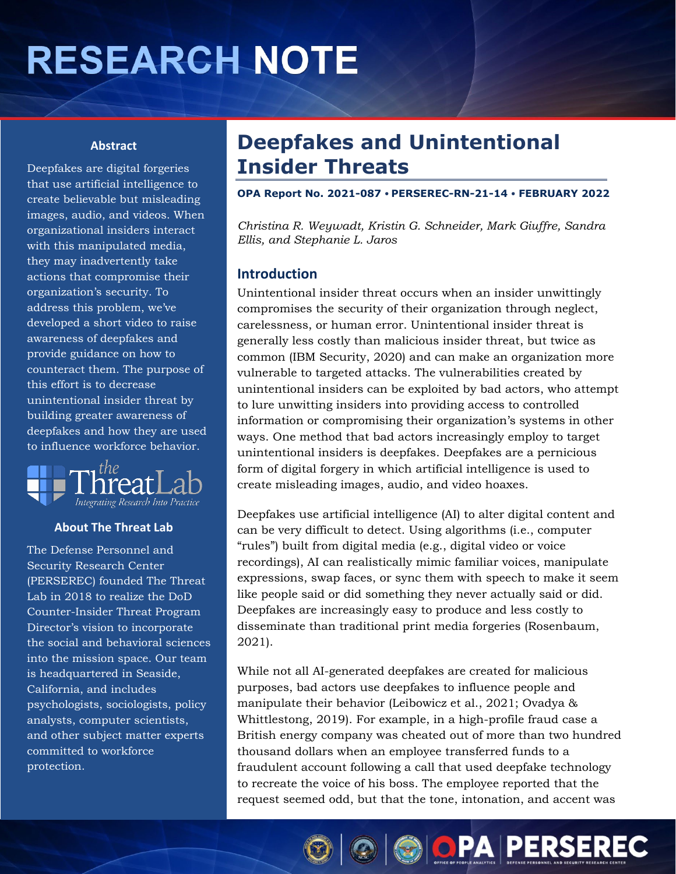# **RESEARCH NOTE**

#### **Abstract**

Deepfakes are digital forgeries that use artificial intelligence to create believable but misleading images, audio, and videos. When organizational insiders interact with this manipulated media, they may inadvertently take actions that compromise their organization's security. To address this problem, we've developed a short video to raise awareness of deepfakes and provide guidance on how to counteract them. The purpose of this effort is to decrease unintentional insider threat by building greater awareness of deepfakes and how they are used to influence workforce behavior.



#### **About The Threat Lab**

The Defense Personnel and Security Research Center (PERSEREC) founded The Threat Lab in 2018 to realize the DoD Counter-Insider Threat Program Director's vision to incorporate the social and behavioral sciences into the mission space. Our team is headquartered in Seaside, California, and includes psychologists, sociologists, policy analysts, computer scientists, and other subject matter experts committed to workforce protection.

## **Deepfakes and Unintentional Insider Threats**

**OPA Report No. 2021-087 PERSEREC-RN-21-14 FEBRUARY 2022** 

*Christina R. Weywadt, Kristin G. Schneider, Mark Giuffre, Sandra Ellis, and Stephanie L. Jaros* 

#### **Introduction**

Unintentional insider threat occurs when an insider unwittingly compromises the security of their organization through neglect, carelessness, or human error. Unintentional insider threat is generally less costly than malicious insider threat, but twice as common (IBM Security, 2020) and can make an organization more vulnerable to targeted attacks. The vulnerabilities created by unintentional insiders can be exploited by bad actors, who attempt to lure unwitting insiders into providing access to controlled information or compromising their organization's systems in other ways. One method that bad actors increasingly employ to target unintentional insiders is deepfakes. Deepfakes are a pernicious form of digital forgery in which artificial intelligence is used to create misleading images, audio, and video hoaxes.

Deepfakes use artificial intelligence (AI) to alter digital content and can be very difficult to detect. Using algorithms (i.e., computer "rules") built from digital media (e.g., digital video or voice recordings), AI can realistically mimic familiar voices, manipulate expressions, swap faces, or sync them with speech to make it seem like people said or did something they never actually said or did. Deepfakes are increasingly easy to produce and less costly to disseminate than traditional print media forgeries (Rosenbaum, 2021).

While not all AI-generated deepfakes are created for malicious purposes, bad actors use deepfakes to influence people and manipulate their behavior (Leibowicz et al., 2021; Ovadya & Whittlestong, 2019). For example, in a high-profile fraud case a British energy company was cheated out of more than two hundred thousand dollars when an employee transferred funds to a fraudulent account following a call that used deepfake technology to recreate the voice of his boss. The employee reported that the request seemed odd, but that the tone, intonation, and accent was

**OIOOOPAPERSEREC**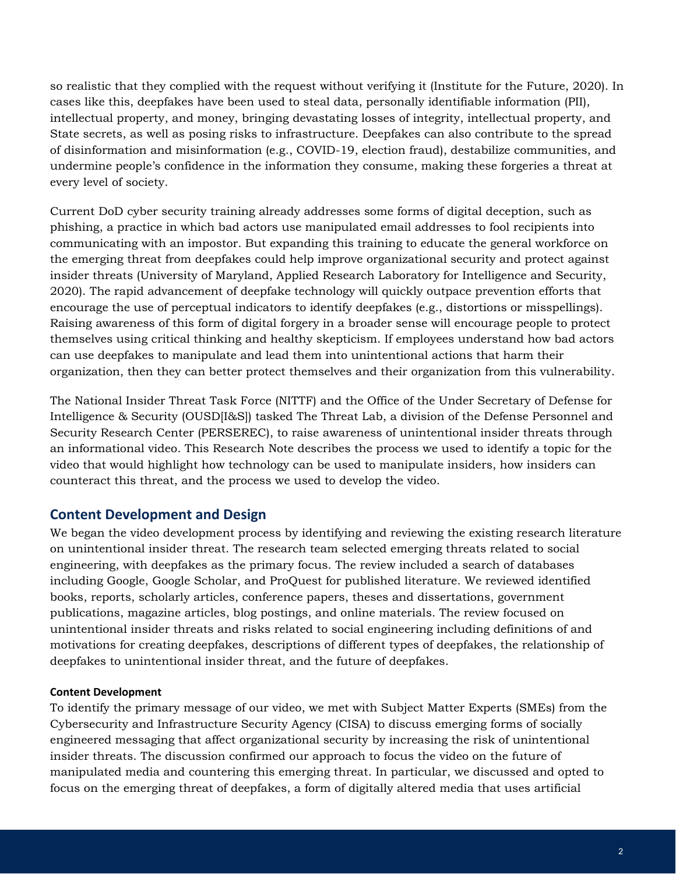so realistic that they complied with the request without verifying it (Institute for the Future, 2020). In cases like this, deepfakes have been used to steal data, personally identifiable information (PII), intellectual property, and money, bringing devastating losses of integrity, intellectual property, and State secrets, as well as posing risks to infrastructure. Deepfakes can also contribute to the spread of disinformation and misinformation (e.g., COVID-19, election fraud), destabilize communities, and undermine people's confidence in the information they consume, making these forgeries a threat at every level of society.

Current DoD cyber security training already addresses some forms of digital deception, such as phishing, a practice in which bad actors use manipulated email addresses to fool recipients into communicating with an impostor. But expanding this training to educate the general workforce on the emerging threat from deepfakes could help improve organizational security and protect against insider threats (University of Maryland, Applied Research Laboratory for Intelligence and Security, 2020). The rapid advancement of deepfake technology will quickly outpace prevention efforts that encourage the use of perceptual indicators to identify deepfakes (e.g., distortions or misspellings). Raising awareness of this form of digital forgery in a broader sense will encourage people to protect themselves using critical thinking and healthy skepticism. If employees understand how bad actors can use deepfakes to manipulate and lead them into unintentional actions that harm their organization, then they can better protect themselves and their organization from this vulnerability.

The National Insider Threat Task Force (NITTF) and the Office of the Under Secretary of Defense for Intelligence & Security (OUSD[I&S]) tasked The Threat Lab, a division of the Defense Personnel and Security Research Center (PERSEREC), to raise awareness of unintentional insider threats through an informational video. This Research Note describes the process we used to identify a topic for the video that would highlight how technology can be used to manipulate insiders, how insiders can counteract this threat, and the process we used to develop the video.

#### **Content Development and Design**

We began the video development process by identifying and reviewing the existing research literature on unintentional insider threat. The research team selected emerging threats related to social engineering, with deepfakes as the primary focus. The review included a search of databases including Google, Google Scholar, and ProQuest for published literature. We reviewed identified books, reports, scholarly articles, conference papers, theses and dissertations, government publications, magazine articles, blog postings, and online materials. The review focused on unintentional insider threats and risks related to social engineering including definitions of and motivations for creating deepfakes, descriptions of different types of deepfakes, the relationship of deepfakes to unintentional insider threat, and the future of deepfakes.

#### **Content Development**

To identify the primary message of our video, we met with Subject Matter Experts (SMEs) from the Cybersecurity and Infrastructure Security Agency (CISA) to discuss emerging forms of socially engineered messaging that affect organizational security by increasing the risk of unintentional insider threats. The discussion confirmed our approach to focus the video on the future of manipulated media and countering this emerging threat. In particular, we discussed and opted to focus on the emerging threat of deepfakes, a form of digitally altered media that uses artificial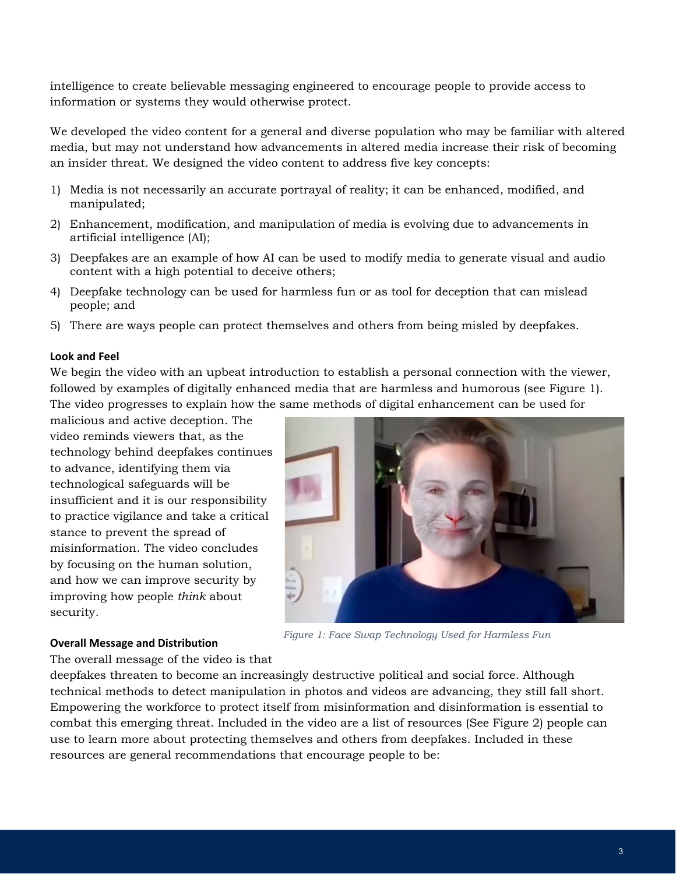intelligence to create believable messaging engineered to encourage people to provide access to information or systems they would otherwise protect.

We developed the video content for a general and diverse population who may be familiar with altered media, but may not understand how advancements in altered media increase their risk of becoming an insider threat. We designed the video content to address five key concepts:

- 1) Media is not necessarily an accurate portrayal of reality; it can be enhanced, modified, and manipulated;
- 2) Enhancement, modification, and manipulation of media is evolving due to advancements in artificial intelligence (AI);
- 3) Deepfakes are an example of how AI can be used to modify media to generate visual and audio content with a high potential to deceive others;
- 4) Deepfake technology can be used for harmless fun or as tool for deception that can mislead people; and
- 5) There are ways people can protect themselves and others from being misled by deepfakes.

#### **Look and Feel**

We begin the video with an upbeat introduction to establish a personal connection with the viewer, followed by examples of digitally enhanced media that are harmless and humorous (see Figure 1). The video progresses to explain how the same methods of digital enhancement can be used for

malicious and active deception. The video reminds viewers that, as the technology behind deepfakes continues to advance, identifying them via technological safeguards will be insufficient and it is our responsibility to practice vigilance and take a critical stance to prevent the spread of misinformation. The video concludes by focusing on the human solution, and how we can improve security by improving how people *think* about security.



### *Figure 1: Face Swap Technology Used for Harmless Fun* **Overall Message and Distribution**

The overall message of the video is that

deepfakes threaten to become an increasingly destructive political and social force. Although technical methods to detect manipulation in photos and videos are advancing, they still fall short. Empowering the workforce to protect itself from misinformation and disinformation is essential to combat this emerging threat. Included in the video are a list of resources (See Figure 2) people can use to learn more about protecting themselves and others from deepfakes. Included in these resources are general recommendations that encourage people to be: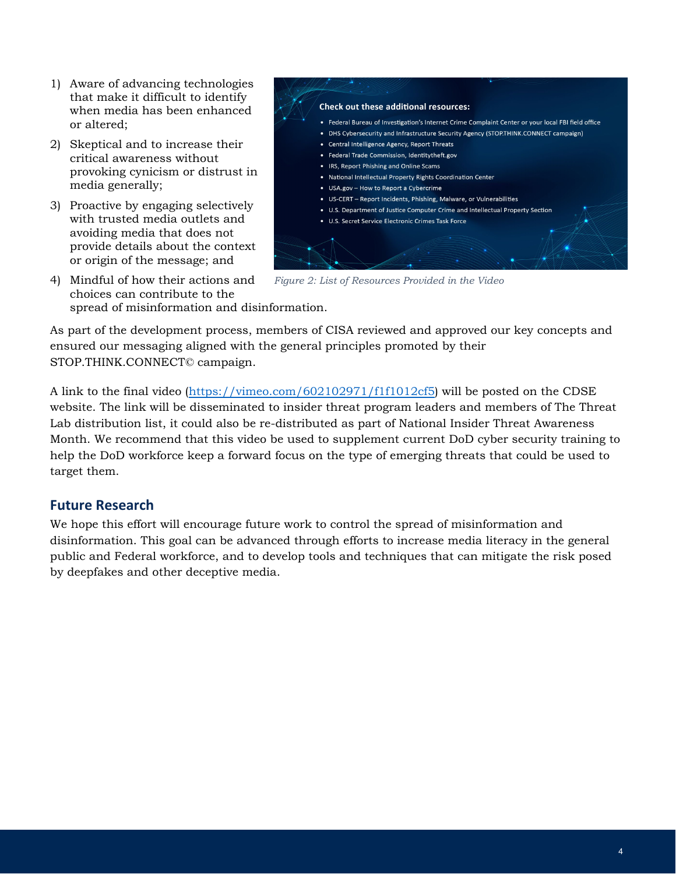- 1) Aware of advancing technologies that make it difficult to identify when media has been enhanced or altered;
- 2) Skeptical and to increase their critical awareness without provoking cynicism or distrust in media generally;
- 3) Proactive by engaging selectively with trusted media outlets and avoiding media that does not provide details about the context or origin of the message; and
- 4) Mindful of how their actions and choices can contribute to the spread of misinformation and disinformation.



*Figure 2: List of Resources Provided in the Video*

As part of the development process, members of CISA reviewed and approved our key concepts and ensured our messaging aligned with the general principles promoted by their STOP.THINK.CONNECT© campaign.

A link to the final video [\(https://vimeo.com/602102971/f1f1012cf5\)](https://vimeo.com/602102971/f1f1012cf5) will be posted on the CDSE website. The link will be disseminated to insider threat program leaders and members of The Threat Lab distribution list, it could also be re-distributed as part of National Insider Threat Awareness Month. We recommend that this video be used to supplement current DoD cyber security training to help the DoD workforce keep a forward focus on the type of emerging threats that could be used to target them.

#### **Future Research**

We hope this effort will encourage future work to control the spread of misinformation and disinformation. This goal can be advanced through efforts to increase media literacy in the general public and Federal workforce, and to develop tools and techniques that can mitigate the risk posed by deepfakes and other deceptive media.